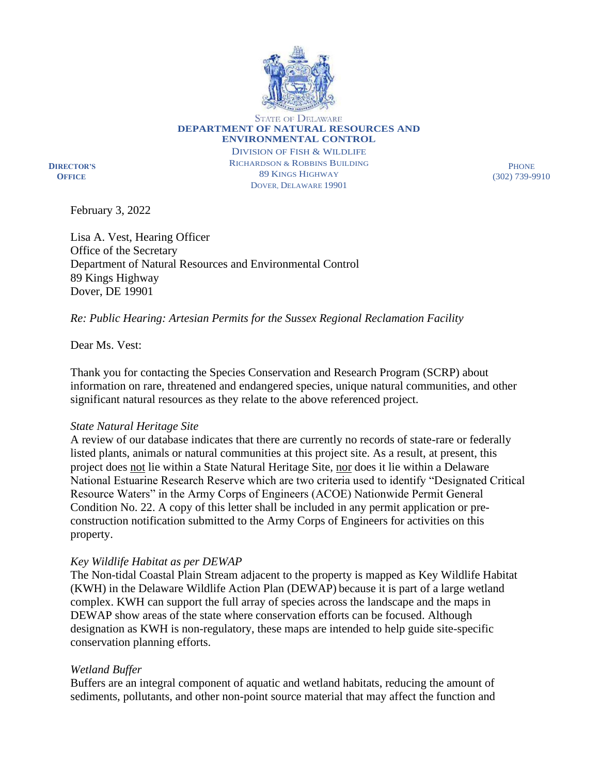

STATE OF DELAWARE **DEPARTMENT OF NATURAL RESOURCES AND ENVIRONMENTAL CONTROL**

**DIRECTOR'S OFFICE**

DIVISION OF FISH & WILDLIFE RICHARDSON & ROBBINS BUILDING 89 KINGS HIGHWAY DOVER, DELAWARE 19901

**PHONE** (302) 739-9910

February 3, 2022

Lisa A. Vest, Hearing Officer Office of the Secretary Department of Natural Resources and Environmental Control 89 Kings Highway Dover, DE 19901

# *Re: Public Hearing: Artesian Permits for the Sussex Regional Reclamation Facility*

Dear Ms. Vest:

Thank you for contacting the Species Conservation and Research Program (SCRP) about information on rare, threatened and endangered species, unique natural communities, and other significant natural resources as they relate to the above referenced project.

## *State Natural Heritage Site*

A review of our database indicates that there are currently no records of state-rare or federally listed plants, animals or natural communities at this project site. As a result, at present, this project does not lie within a State Natural Heritage Site, nor does it lie within a Delaware National Estuarine Research Reserve which are two criteria used to identify "Designated Critical Resource Waters" in the Army Corps of Engineers (ACOE) Nationwide Permit General Condition No. 22. A copy of this letter shall be included in any permit application or preconstruction notification submitted to the Army Corps of Engineers for activities on this property.

## *Key Wildlife Habitat as per DEWAP*

The Non-tidal Coastal Plain Stream adjacent to the property is mapped as Key Wildlife Habitat (KWH) in the Delaware Wildlife Action Plan (DEWAP) because it is part of a large wetland complex. KWH can support the full array of species across the landscape and the maps in DEWAP show areas of the state where conservation efforts can be focused. Although designation as KWH is non-regulatory, these maps are intended to help guide site-specific conservation planning efforts.

## *Wetland Buffer*

Buffers are an integral component of aquatic and wetland habitats, reducing the amount of sediments, pollutants, and other non-point source material that may affect the function and